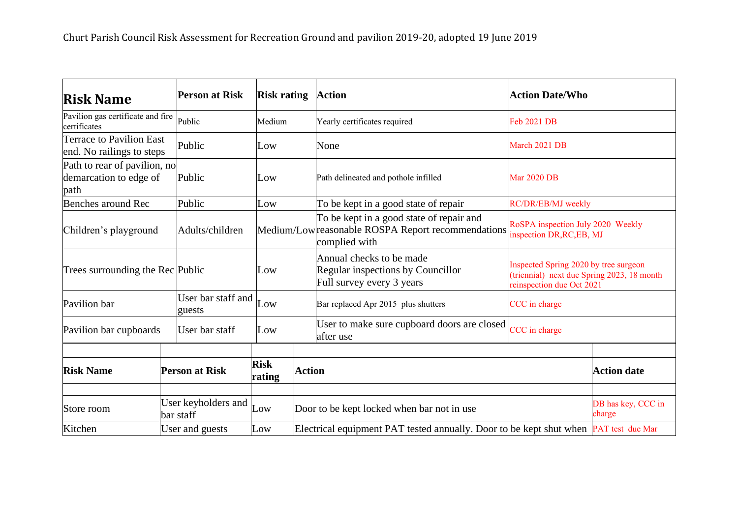| <b>Risk Name</b>                                                         |                                  | <b>Person at Risk</b>        | <b>Risk rating</b>    |                                                                                      | <b>Action</b>                                                                                                  | <b>Action Date/Who</b>                                                                                           |                              |
|--------------------------------------------------------------------------|----------------------------------|------------------------------|-----------------------|--------------------------------------------------------------------------------------|----------------------------------------------------------------------------------------------------------------|------------------------------------------------------------------------------------------------------------------|------------------------------|
| Pavilion gas certificate and fire<br>Public<br>certificates              |                                  | Medium                       |                       | Yearly certificates required                                                         | Feb 2021 DB                                                                                                    |                                                                                                                  |                              |
| <b>Terrace to Pavilion East</b><br>end. No railings to steps             |                                  | Public                       | Low                   |                                                                                      | None                                                                                                           | March 2021 DB                                                                                                    |                              |
| Path to rear of pavilion, no<br>demarcation to edge of<br>Public<br>path |                                  | Low                          |                       | Path delineated and pothole infilled                                                 | <b>Mar 2020 DB</b>                                                                                             |                                                                                                                  |                              |
| Benches around Rec                                                       | Public                           |                              | Low                   |                                                                                      | To be kept in a good state of repair                                                                           | RC/DR/EB/MJ weekly                                                                                               |                              |
| Children's playground                                                    |                                  | Adults/children              |                       |                                                                                      | To be kept in a good state of repair and<br>Medium/Lowreasonable ROSPA Report recommendations<br>complied with | RoSPA inspection July 2020 Weekly<br>inspection DR, RC, EB, MJ                                                   |                              |
| Trees surrounding the Rec Public                                         |                                  |                              | Low                   |                                                                                      | Annual checks to be made<br>Regular inspections by Councillor<br>Full survey every 3 years                     | Inspected Spring 2020 by tree surgeon<br>(triennial) next due Spring 2023, 18 month<br>reinspection due Oct 2021 |                              |
| Pavilion bar                                                             |                                  | User bar staff and<br>guests | Low                   |                                                                                      | Bar replaced Apr 2015 plus shutters                                                                            | CCC in charge                                                                                                    |                              |
| Pavilion bar cupboards                                                   |                                  | User bar staff               | Low                   |                                                                                      | User to make sure cupboard doors are closed<br>after use                                                       | CCC in charge                                                                                                    |                              |
| <b>Risk Name</b>                                                         | <b>Person at Risk</b>            |                              | <b>Risk</b><br>rating | <b>Action</b>                                                                        |                                                                                                                |                                                                                                                  | <b>Action date</b>           |
| Store room                                                               | User keyholders and<br>bar staff |                              | Low                   |                                                                                      | Door to be kept locked when bar not in use                                                                     |                                                                                                                  | DB has key, CCC in<br>charge |
| Kitchen                                                                  | User and guests                  |                              | Low                   | Electrical equipment PAT tested annually. Door to be kept shut when PAT test due Mar |                                                                                                                |                                                                                                                  |                              |